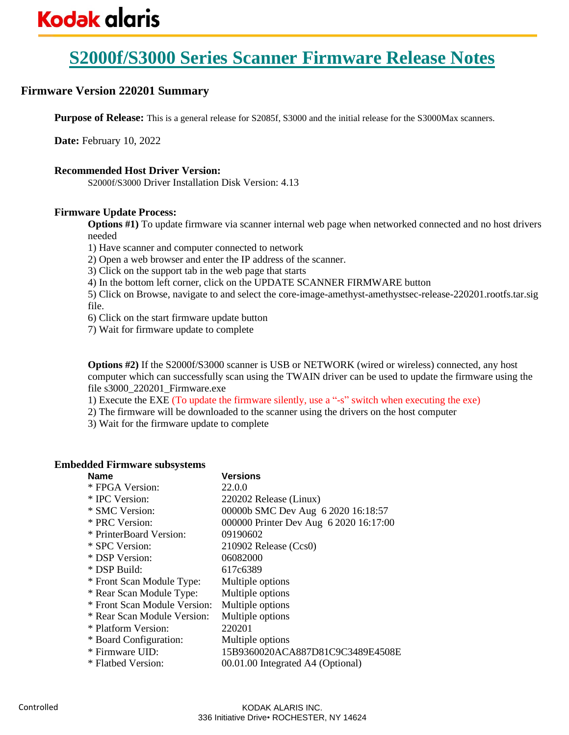# **Firmware Version 220201 Summary**

**Purpose of Release:** This is a general release for S2085f, S3000 and the initial release for the S3000Max scanners.

**Date:** February 10, 2022

## **Recommended Host Driver Version:**

S2000f/S3000 Driver Installation Disk Version: 4.13

## **Firmware Update Process:**

**Options #1)** To update firmware via scanner internal web page when networked connected and no host drivers needed

1) Have scanner and computer connected to network

2) Open a web browser and enter the IP address of the scanner.

3) Click on the support tab in the web page that starts

4) In the bottom left corner, click on the UPDATE SCANNER FIRMWARE button

5) Click on Browse, navigate to and select the core-image-amethyst-amethystsec-release-220201.rootfs.tar.sig file.

6) Click on the start firmware update button

7) Wait for firmware update to complete

**Options #2)** If the S2000f/S3000 scanner is USB or NETWORK (wired or wireless) connected, any host computer which can successfully scan using the TWAIN driver can be used to update the firmware using the file s3000\_220201\_Firmware.exe

1) Execute the EXE (To update the firmware silently, use a "-s" switch when executing the exe)

2) The firmware will be downloaded to the scanner using the drivers on the host computer

3) Wait for the firmware update to complete

## **Embedded Firmware subsystems**

| <b>Name</b>                  | Versions                               |
|------------------------------|----------------------------------------|
| * FPGA Version:              | 22.0.0                                 |
| * IPC Version:               | 220202 Release (Linux)                 |
| * SMC Version:               | 00000b SMC Dev Aug 6 2020 16:18:57     |
| * PRC Version:               | 000000 Printer Dev Aug 6 2020 16:17:00 |
| * PrinterBoard Version:      | 09190602                               |
| * SPC Version:               | 210902 Release (Ccs0)                  |
| * DSP Version:               | 06082000                               |
| * DSP Build:                 | 617c6389                               |
| * Front Scan Module Type:    | Multiple options                       |
| * Rear Scan Module Type:     | Multiple options                       |
| * Front Scan Module Version: | Multiple options                       |
| * Rear Scan Module Version:  | Multiple options                       |
| * Platform Version:          | 220201                                 |
| * Board Configuration:       | Multiple options                       |
| * Firmware UID:              | 15B9360020ACA887D81C9C3489E4508E       |
| * Flathed Version:           | 00.01.00 Integrated A4 (Optional)      |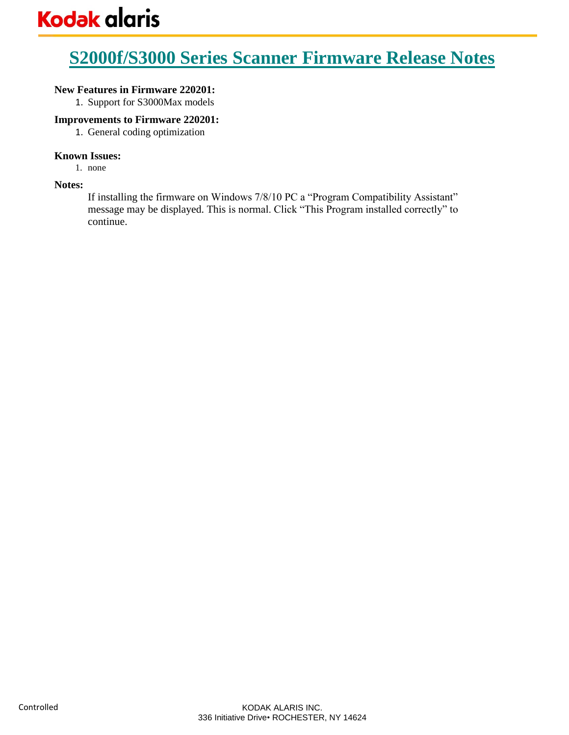## **New Features in Firmware 220201:**

1. Support for S3000Max models

## **Improvements to Firmware 220201:**

1. General coding optimization

## **Known Issues:**

1. none

## **Notes:**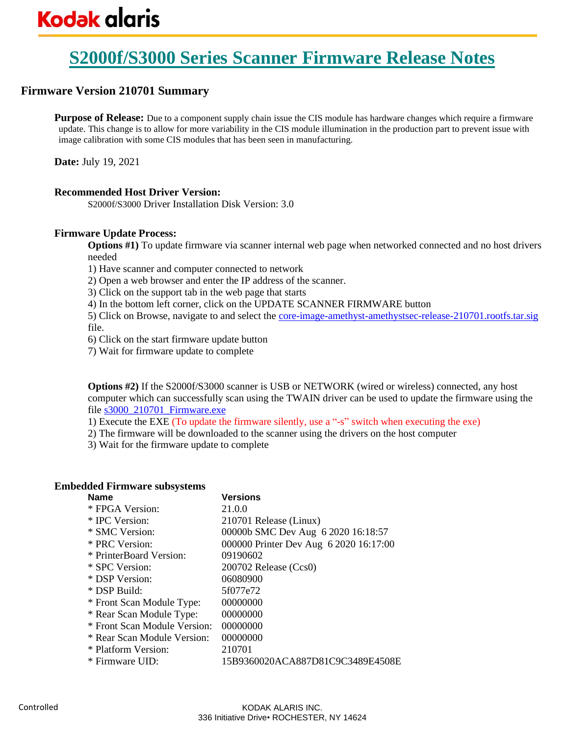# **Firmware Version 210701 Summary**

**Purpose of Release:** Due to a component supply chain issue the CIS module has hardware changes which require a firmware update. This change is to allow for more variability in the CIS module illumination in the production part to prevent issue with image calibration with some CIS modules that has been seen in manufacturing.

**Date:** July 19, 2021

## **Recommended Host Driver Version:**

S2000f/S3000 Driver Installation Disk Version: 3.0

## **Firmware Update Process:**

**Options #1)** To update firmware via scanner internal web page when networked connected and no host drivers needed

1) Have scanner and computer connected to network

2) Open a web browser and enter the IP address of the scanner.

3) Click on the support tab in the web page that starts

4) In the bottom left corner, click on the UPDATE SCANNER FIRMWARE button

5) Click on Browse, navigate to and select the [core-image-amethyst-amethystsec-release-210701.rootfs.tar.sig](http://www.alarisworld.com/go/S3100support) file.

6) Click on the start firmware update button

7) Wait for firmware update to complete

**Options #2)** If the S2000f/S3000 scanner is USB or NETWORK (wired or wireless) connected, any host computer which can successfully scan using the TWAIN driver can be used to update the firmware using the file [s3000\\_210701\\_Firmware.exe](http://www.alarisworld.com/go/S3100support)

1) Execute the EXE (To update the firmware silently, use a "-s" switch when executing the exe)

2) The firmware will be downloaded to the scanner using the drivers on the host computer

3) Wait for the firmware update to complete

## **Embedded Firmware subsystems**

| <b>Name</b>                  | <b>Versions</b>                        |
|------------------------------|----------------------------------------|
| * FPGA Version:              | 21.0.0                                 |
| * IPC Version:               | 210701 Release (Linux)                 |
| * SMC Version:               | 00000b SMC Dev Aug 6 2020 16:18:57     |
| * PRC Version:               | 000000 Printer Dev Aug 6 2020 16:17:00 |
| * PrinterBoard Version:      | 09190602                               |
| * SPC Version:               | 200702 Release (Ccs0)                  |
| * DSP Version:               | 06080900                               |
| * DSP Build:                 | 5f077e72                               |
| * Front Scan Module Type:    | 00000000                               |
| * Rear Scan Module Type:     | 00000000                               |
| * Front Scan Module Version: | 00000000                               |
| * Rear Scan Module Version:  | 00000000                               |
| * Platform Version:          | 210701                                 |
| * Firmware UID:              | 15B9360020ACA887D81C9C3489E4508E       |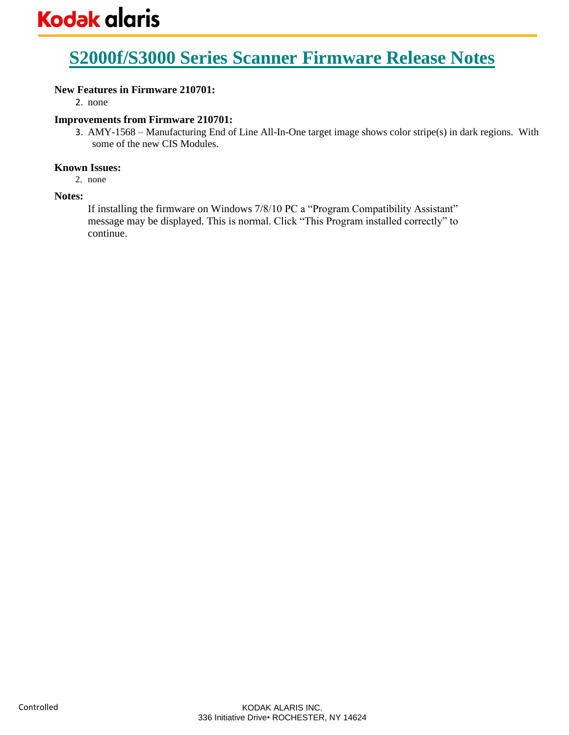## **New Features in Firmware 210701:**

2. none

## **Improvements from Firmware 210701:**

3. AMY-1568 – Manufacturing End of Line All-In-One target image shows color stripe(s) in dark regions. With some of the new CIS Modules.

## **Known Issues:**

2. none

## **Notes:**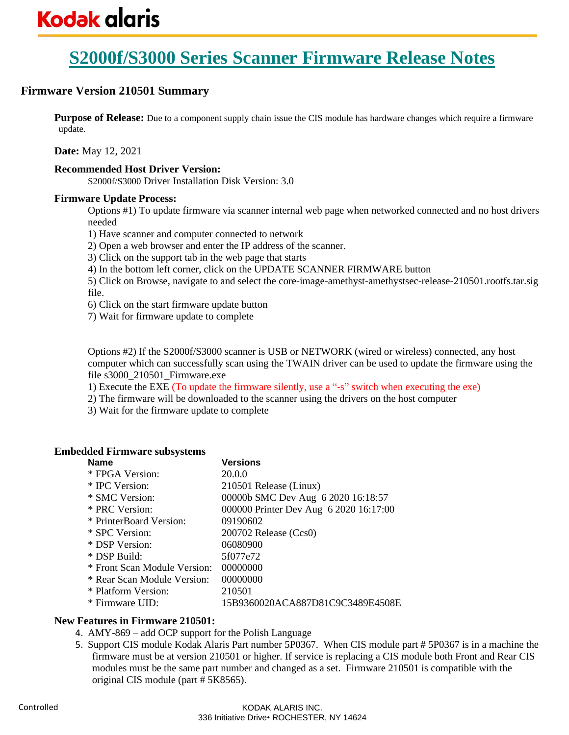# **Firmware Version 210501 Summary**

**Purpose of Release:** Due to a component supply chain issue the CIS module has hardware changes which require a firmware update.

**Date:** May 12, 2021

## **Recommended Host Driver Version:**

S2000f/S3000 Driver Installation Disk Version: 3.0

#### **Firmware Update Process:**

Options #1) To update firmware via scanner internal web page when networked connected and no host drivers needed

1) Have scanner and computer connected to network

2) Open a web browser and enter the IP address of the scanner.

3) Click on the support tab in the web page that starts

4) In the bottom left corner, click on the UPDATE SCANNER FIRMWARE button

5) Click on Browse, navigate to and select the core-image-amethyst-amethystsec-release-210501.rootfs.tar.sig file.

6) Click on the start firmware update button

7) Wait for firmware update to complete

Options #2) If the S2000f/S3000 scanner is USB or NETWORK (wired or wireless) connected, any host computer which can successfully scan using the TWAIN driver can be used to update the firmware using the file s3000\_210501\_Firmware.exe

1) Execute the EXE (To update the firmware silently, use a "-s" switch when executing the exe)

2) The firmware will be downloaded to the scanner using the drivers on the host computer

3) Wait for the firmware update to complete

## **Embedded Firmware subsystems**

| <b>Name</b>                  | <b>Versions</b>                        |
|------------------------------|----------------------------------------|
| * FPGA Version:              | 20.0.0                                 |
| * IPC Version:               | 210501 Release (Linux)                 |
| * SMC Version:               | 00000b SMC Dev Aug 6 2020 16:18:57     |
| * PRC Version:               | 000000 Printer Dev Aug 6 2020 16:17:00 |
| * PrinterBoard Version:      | 09190602                               |
| * SPC Version:               | $200702$ Release (Ccs0)                |
| * DSP Version:               | 06080900                               |
| * DSP Build:                 | 5f077e72                               |
| * Front Scan Module Version: | 00000000                               |
| * Rear Scan Module Version:  | 00000000                               |
| * Platform Version:          | 210501                                 |
| * Firmware UID:              | 15B9360020ACA887D81C9C3489E4508E       |

## **New Features in Firmware 210501:**

- 4. AMY-869 add OCP support for the Polish Language
- 5. Support CIS module Kodak Alaris Part number 5P0367. When CIS module part # 5P0367 is in a machine the firmware must be at version 210501 or higher. If service is replacing a CIS module both Front and Rear CIS modules must be the same part number and changed as a set. Firmware 210501 is compatible with the original CIS module (part # 5K8565).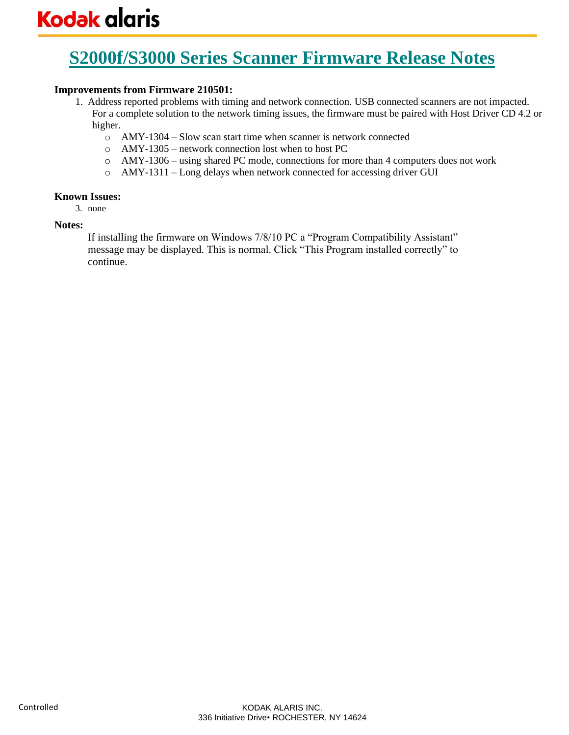## **Improvements from Firmware 210501:**

- 1. Address reported problems with timing and network connection. USB connected scanners are not impacted. For a complete solution to the network timing issues, the firmware must be paired with Host Driver CD 4.2 or higher.
	- o AMY-1304 Slow scan start time when scanner is network connected
	- o AMY-1305 network connection lost when to host PC
	- o AMY-1306 using shared PC mode, connections for more than 4 computers does not work
	- o AMY-1311 Long delays when network connected for accessing driver GUI

## **Known Issues:**

3. none

## **Notes:**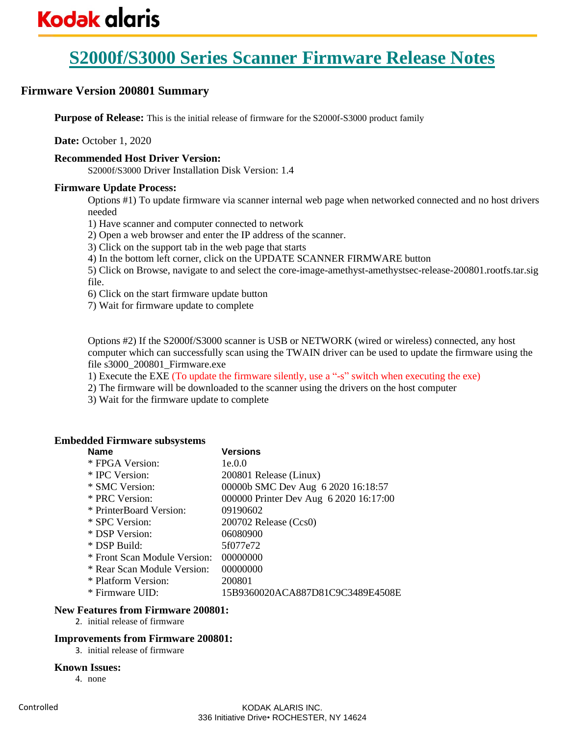# **Firmware Version 200801 Summary**

**Purpose of Release:** This is the initial release of firmware for the S2000f-S3000 product family

**Date:** October 1, 2020

## **Recommended Host Driver Version:**

S2000f/S3000 Driver Installation Disk Version: 1.4

## **Firmware Update Process:**

Options #1) To update firmware via scanner internal web page when networked connected and no host drivers needed

1) Have scanner and computer connected to network

2) Open a web browser and enter the IP address of the scanner.

3) Click on the support tab in the web page that starts

4) In the bottom left corner, click on the UPDATE SCANNER FIRMWARE button

5) Click on Browse, navigate to and select the core-image-amethyst-amethystsec-release-200801.rootfs.tar.sig file.

6) Click on the start firmware update button

7) Wait for firmware update to complete

Options #2) If the S2000f/S3000 scanner is USB or NETWORK (wired or wireless) connected, any host computer which can successfully scan using the TWAIN driver can be used to update the firmware using the file s3000\_200801\_Firmware.exe

1) Execute the EXE (To update the firmware silently, use a "-s" switch when executing the exe)

2) The firmware will be downloaded to the scanner using the drivers on the host computer

3) Wait for the firmware update to complete

## **Embedded Firmware subsystems**

| <b>Name</b>                  | <b>Versions</b>                        |
|------------------------------|----------------------------------------|
| * FPGA Version:              | 1e.0.0                                 |
| * IPC Version:               | 200801 Release (Linux)                 |
| * SMC Version:               | 00000b SMC Dev Aug 6 2020 16:18:57     |
| * PRC Version:               | 000000 Printer Dev Aug 6 2020 16:17:00 |
| * PrinterBoard Version:      | 09190602                               |
| * SPC Version:               | $200702$ Release (Ccs0)                |
| * DSP Version:               | 06080900                               |
| * DSP Build:                 | 5f077e72                               |
| * Front Scan Module Version: | 00000000                               |
| * Rear Scan Module Version:  | 00000000                               |
| * Platform Version:          | 200801                                 |
| * Firmware UID:              | 15B9360020ACA887D81C9C3489E4508E       |

#### **New Features from Firmware 200801:**

2. initial release of firmware

#### **Improvements from Firmware 200801:**

3. initial release of firmware

#### **Known Issues:**

4. none